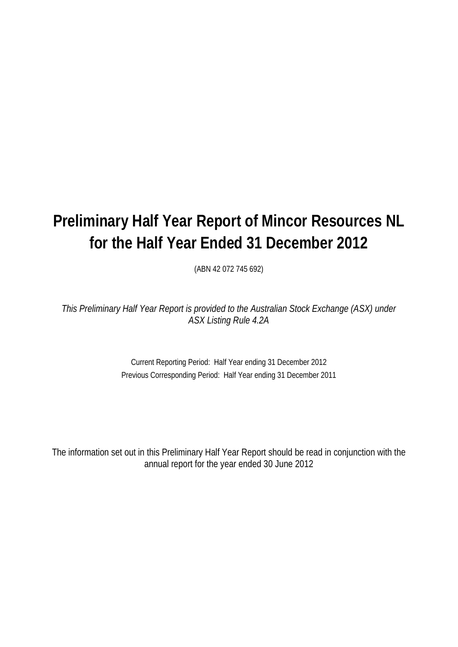# **Preliminary Half Year Report of Mincor Resources NL for the Half Year Ended 31 December 2012**

(ABN 42 072 745 692)

*This Preliminary Half Year Report is provided to the Australian Stock Exchange (ASX) under ASX Listing Rule 4.2A*

> Current Reporting Period: Half Year ending 31 December 2012 Previous Corresponding Period: Half Year ending 31 December 2011

The information set out in this Preliminary Half Year Report should be read in conjunction with the annual report for the year ended 30 June 2012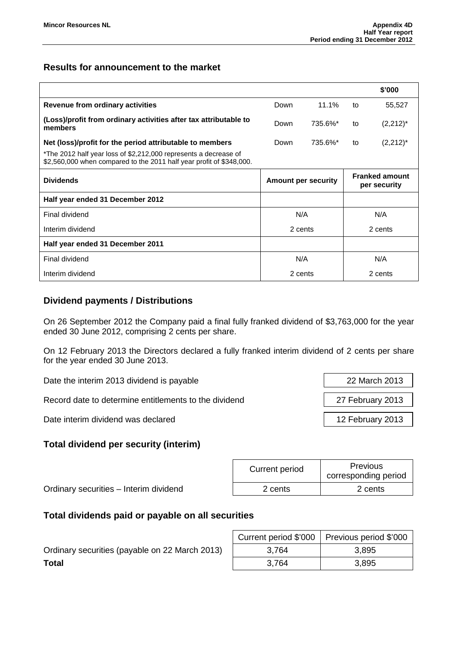## **Results for announcement to the market**

|                                                                                                                                          |      |                            |    | \$'000                                |
|------------------------------------------------------------------------------------------------------------------------------------------|------|----------------------------|----|---------------------------------------|
| Revenue from ordinary activities                                                                                                         | Down | 11.1%                      | to | 55,527                                |
| (Loss)/profit from ordinary activities after tax attributable to<br>members                                                              | Down | 735.6%*                    | to | $(2,212)^*$                           |
| Net (loss)/profit for the period attributable to members                                                                                 | Down | 735.6%*                    | to | $(2,212)^*$                           |
| *The 2012 half year loss of \$2,212,000 represents a decrease of<br>\$2,560,000 when compared to the 2011 half year profit of \$348,000. |      |                            |    |                                       |
| <b>Dividends</b>                                                                                                                         |      | <b>Amount per security</b> |    | <b>Franked amount</b><br>per security |
| Half year ended 31 December 2012                                                                                                         |      |                            |    |                                       |
| Final dividend                                                                                                                           |      | N/A                        |    | N/A                                   |
| Interim dividend                                                                                                                         |      | 2 cents                    |    | 2 cents                               |
| Half year ended 31 December 2011                                                                                                         |      |                            |    |                                       |
| Final dividend                                                                                                                           | N/A  |                            |    | N/A                                   |
| Interim dividend                                                                                                                         |      | 2 cents                    |    | 2 cents                               |

## **Dividend payments / Distributions**

On 26 September 2012 the Company paid a final fully franked dividend of \$3,763,000 for the year ended 30 June 2012, comprising 2 cents per share.

On 12 February 2013 the Directors declared a fully franked interim dividend of 2 cents per share for the year ended 30 June 2013.

Date the interim 2013 dividend is payable 22 March 2013

Record date to determine entitlements to the dividend 27 February 2013

Date interim dividend was declared 12 February 2013

## **Total dividend per security (interim)**

|                                        | Current period | Previous<br>corresponding period |
|----------------------------------------|----------------|----------------------------------|
| Ordinary securities - Interim dividend | 2 cents        | 2 cents                          |

## **Total dividends paid or payable on all securities**

Ordinary securities (payable on 22 March 2013) **Total** 3,895

| Current period \$'000 | Previous period \$'000 |
|-----------------------|------------------------|
| 3,764                 | 3,895                  |
| 3,764                 | 3,895                  |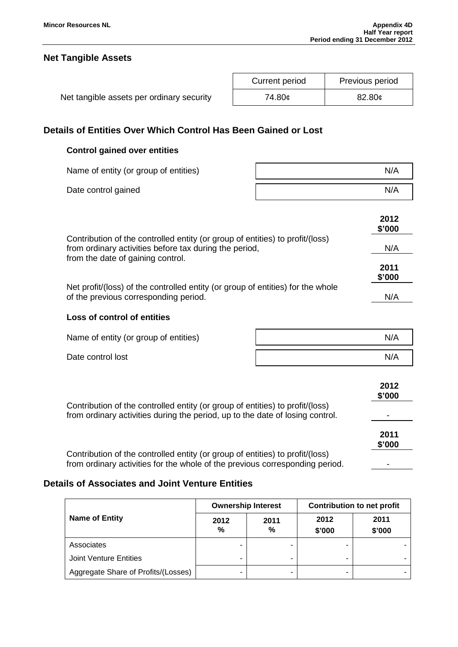## **Net Tangible Assets**

|  | Net tangible assets per ordinary security | 74.80¢ | 82.80¢ |
|--|-------------------------------------------|--------|--------|
|--|-------------------------------------------|--------|--------|

| Current period | Previous period    |
|----------------|--------------------|
| 74.80¢         | 82.80 <sub>¢</sub> |

## **Details of Entities Over Which Control Has Been Gained or Lost**

## **Control gained over entities**

| Name of entity (or group of entities) | N/A |
|---------------------------------------|-----|
| Date control gained                   | N/A |

|                                                                                 | 2012<br>\$'000 |
|---------------------------------------------------------------------------------|----------------|
| Contribution of the controlled entity (or group of entities) to profit/(loss)   |                |
| from ordinary activities before tax during the period,                          | N/A            |
| from the date of gaining control.                                               |                |
|                                                                                 | 2011           |
|                                                                                 | \$'000         |
| Net profit/(loss) of the controlled entity (or group of entities) for the whole |                |
| of the previous corresponding period.                                           | N/A            |

## **Loss of control of entities**

| Name of entity (or group of entities) | N/A |
|---------------------------------------|-----|
| Date control lost                     | N/A |

|                                                                                                                                                                | 2012<br>\$'000 |
|----------------------------------------------------------------------------------------------------------------------------------------------------------------|----------------|
| Contribution of the controlled entity (or group of entities) to profit/(loss)<br>from ordinary activities during the period, up to the date of losing control. |                |
|                                                                                                                                                                | 2011<br>\$'000 |
| Contribution of the controlled entity (or group of entities) to profit/(loss)<br>from ordinary activities for the whole of the previous corresponding period.  | -              |

## **Details of Associates and Joint Venture Entities**

|                                     | <b>Ownership Interest</b> |           | <b>Contribution to net profit</b> |                |
|-------------------------------------|---------------------------|-----------|-----------------------------------|----------------|
| <b>Name of Entity</b>               | 2012<br>℅                 | 2011<br>% | 2012<br>\$'000                    | 2011<br>\$'000 |
| Associates                          |                           |           |                                   |                |
| <b>Joint Venture Entities</b>       | ۰                         |           |                                   |                |
| Aggregate Share of Profits/(Losses) |                           |           |                                   |                |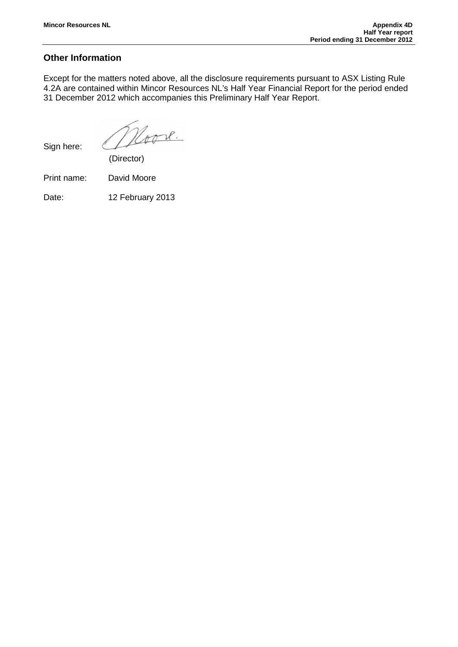## **Other Information**

Except for the matters noted above, all the disclosure requirements pursuant to ASX Listing Rule 4.2A are contained within Mincor Resources NL's Half Year Financial Report for the period ended 31 December 2012 which accompanies this Preliminary Half Year Report.

Noore.

Sign here:

(Director)

Print name: David Moore

Date: 12 February 2013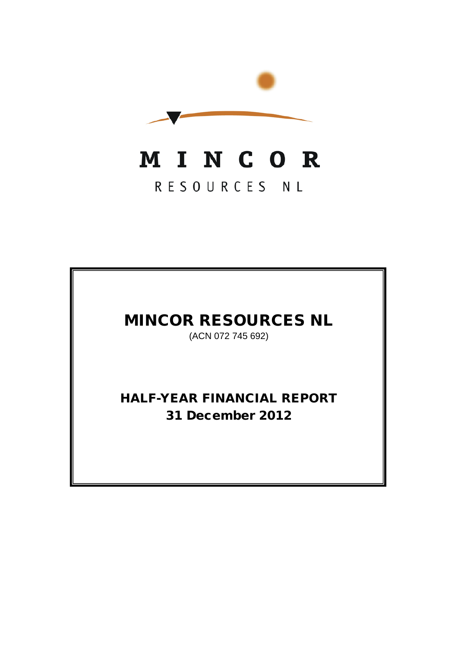

# MINCOR

# RESOURCES NL

# MINCOR RESOURCES NL

(ACN 072 745 692)

HALF-YEAR FINANCIAL REPORT 31 December 2012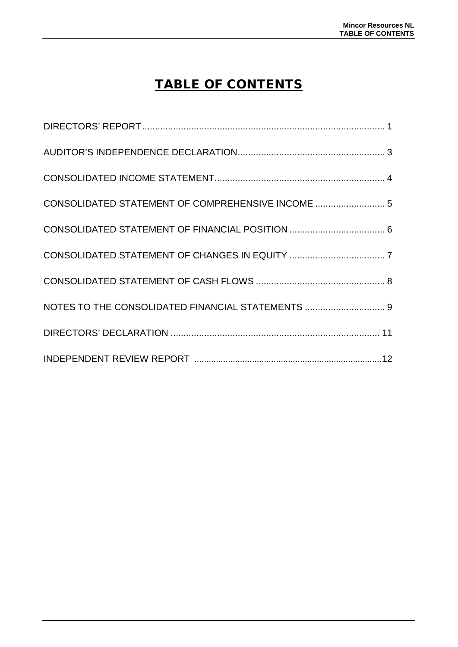## TABLE OF CONTENTS

| CONSOLIDATED STATEMENT OF COMPREHENSIVE INCOME  5 |
|---------------------------------------------------|
|                                                   |
|                                                   |
|                                                   |
| NOTES TO THE CONSOLIDATED FINANCIAL STATEMENTS  9 |
|                                                   |
|                                                   |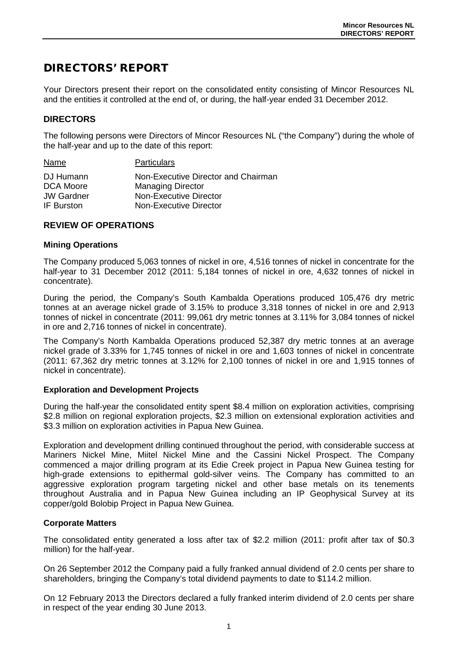## <span id="page-6-0"></span>DIRECTORS' REPORT

Your Directors present their report on the consolidated entity consisting of Mincor Resources NL and the entities it controlled at the end of, or during, the half-year ended 31 December 2012.

## **DIRECTORS**

The following persons were Directors of Mincor Resources NL ("the Company") during the whole of the half-year and up to the date of this report:

| <b>Particulars</b>                  |
|-------------------------------------|
| Non-Executive Director and Chairman |
| <b>Managing Director</b>            |
| Non-Executive Director              |
| <b>Non-Executive Director</b>       |
|                                     |

## **REVIEW OF OPERATIONS**

#### **Mining Operations**

The Company produced 5,063 tonnes of nickel in ore, 4,516 tonnes of nickel in concentrate for the half-year to 31 December 2012 (2011: 5,184 tonnes of nickel in ore, 4,632 tonnes of nickel in concentrate).

During the period, the Company's South Kambalda Operations produced 105,476 dry metric tonnes at an average nickel grade of 3.15% to produce 3,318 tonnes of nickel in ore and 2,913 tonnes of nickel in concentrate (2011: 99,061 dry metric tonnes at 3.11% for 3,084 tonnes of nickel in ore and 2,716 tonnes of nickel in concentrate).

The Company's North Kambalda Operations produced 52,387 dry metric tonnes at an average nickel grade of 3.33% for 1,745 tonnes of nickel in ore and 1,603 tonnes of nickel in concentrate (2011: 67,362 dry metric tonnes at 3.12% for 2,100 tonnes of nickel in ore and 1,915 tonnes of nickel in concentrate).

## **Exploration and Development Projects**

During the half-year the consolidated entity spent \$8.4 million on exploration activities, comprising \$2.8 million on regional exploration projects, \$2.3 million on extensional exploration activities and \$3.3 million on exploration activities in Papua New Guinea.

Exploration and development drilling continued throughout the period, with considerable success at Mariners Nickel Mine, Miitel Nickel Mine and the Cassini Nickel Prospect. The Company commenced a major drilling program at its Edie Creek project in Papua New Guinea testing for high-grade extensions to epithermal gold-silver veins. The Company has committed to an aggressive exploration program targeting nickel and other base metals on its tenements throughout Australia and in Papua New Guinea including an IP Geophysical Survey at its copper/gold Bolobip Project in Papua New Guinea.

## **Corporate Matters**

The consolidated entity generated a loss after tax of \$2.2 million (2011: profit after tax of \$0.3 million) for the half-year.

On 26 September 2012 the Company paid a fully franked annual dividend of 2.0 cents per share to shareholders, bringing the Company's total dividend payments to date to \$114.2 million.

On 12 February 2013 the Directors declared a fully franked interim dividend of 2.0 cents per share in respect of the year ending 30 June 2013.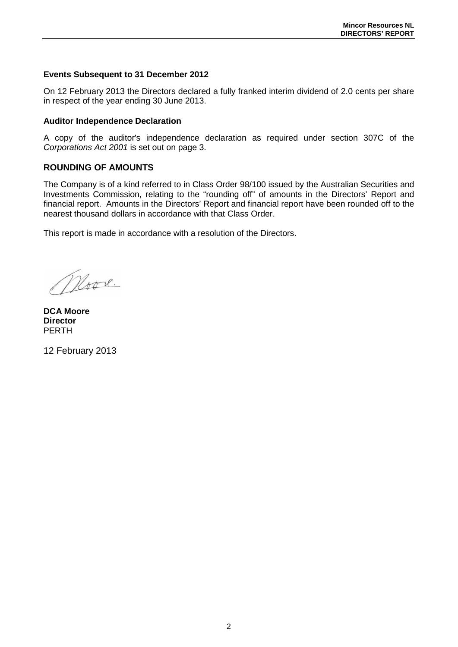## **Events Subsequent to 31 December 2012**

On 12 February 2013 the Directors declared a fully franked interim dividend of 2.0 cents per share in respect of the year ending 30 June 2013.

## **Auditor Independence Declaration**

A copy of the auditor's independence declaration as required under section 307C of the *Corporations Act 2001* is set out on page 3.

## **ROUNDING OF AMOUNTS**

The Company is of a kind referred to in Class Order 98/100 issued by the Australian Securities and Investments Commission, relating to the "rounding off" of amounts in the Directors' Report and financial report. Amounts in the Directors' Report and financial report have been rounded off to the nearest thousand dollars in accordance with that Class Order.

This report is made in accordance with a resolution of the Directors.

Noore.

**DCA Moore Director** PERTH

12 February 2013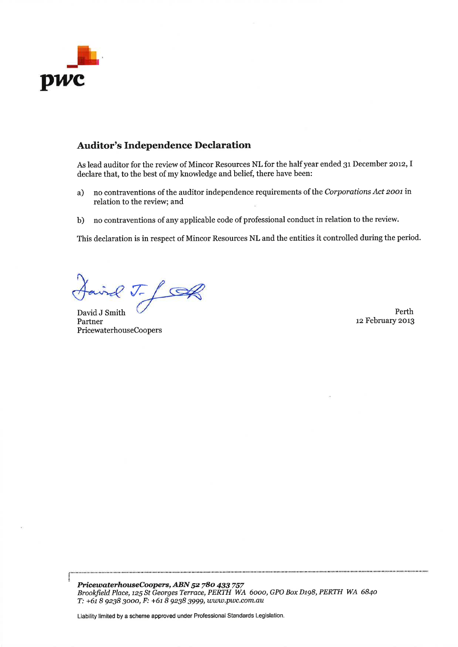

## **Auditor's Independence Declaration**

As lead auditor for the review of Mincor Resources NL for the half year ended 31 December 2012, I declare that, to the best of my knowledge and belief, there have been:

- no contraventions of the auditor independence requirements of the Corporations Act 2001 in a) relation to the review; and
- no contraventions of any applicable code of professional conduct in relation to the review.  $b)$

This declaration is in respect of Mincor Resources NL and the entities it controlled during the period.

 $rdJ-f$ 

David J Smith Partner PricewaterhouseCoopers

Perth 12 February 2013

PricewaterhouseCoopers, ABN 52 780 433 757 Brookfield Place, 125 St Georges Terrace, PERTH WA 6000, GPO Box D198, PERTH WA 6840 T: +61 8 9238 3000, F: +61 8 9238 3999, www.pwc.com.au

Liability limited by a scheme approved under Professional Standards Legislation.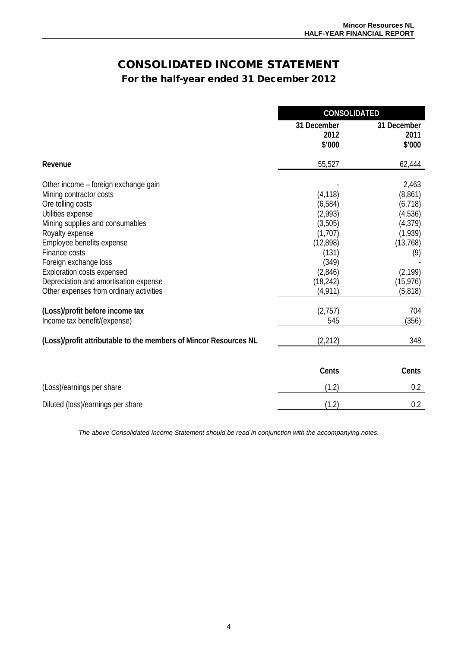## CONSOLIDATED INCOME STATEMENT For the half-year ended 31 December 2012

<span id="page-9-0"></span>

|                                                                                                                                                                                                                                                                                                                                                          | <b>CONSOLIDATED</b>                                                                                                      |                                                                                                                         |
|----------------------------------------------------------------------------------------------------------------------------------------------------------------------------------------------------------------------------------------------------------------------------------------------------------------------------------------------------------|--------------------------------------------------------------------------------------------------------------------------|-------------------------------------------------------------------------------------------------------------------------|
|                                                                                                                                                                                                                                                                                                                                                          | 31 December<br>2012<br>\$'000                                                                                            | 31 December<br>2011<br>\$'000                                                                                           |
| Revenue                                                                                                                                                                                                                                                                                                                                                  | 55,527                                                                                                                   | 62,444                                                                                                                  |
| Other income – foreign exchange gain<br>Mining contractor costs<br>Ore tolling costs<br>Utilities expense<br>Mining supplies and consumables<br>Royalty expense<br>Employee benefits expense<br>Finance costs<br>Foreign exchange loss<br>Exploration costs expensed<br>Depreciation and amortisation expense<br>Other expenses from ordinary activities | (4, 118)<br>(6, 584)<br>(2,993)<br>(3,505)<br>(1,707)<br>(12, 898)<br>(131)<br>(349)<br>(2,846)<br>(18, 242)<br>(4, 911) | 2,463<br>(8,861)<br>(6, 718)<br>(4,536)<br>(4, 379)<br>(1,939)<br>(13, 768)<br>(9)<br>(2, 199)<br>(15, 976)<br>(5, 818) |
| (Loss)/profit before income tax<br>Income tax benefit/(expense)<br>(Loss)/profit attributable to the members of Mincor Resources NL                                                                                                                                                                                                                      | (2,757)<br>545<br>(2, 212)                                                                                               | 704<br>(356)<br>348                                                                                                     |
|                                                                                                                                                                                                                                                                                                                                                          | Cents                                                                                                                    | Cents                                                                                                                   |
| (Loss)/earnings per share                                                                                                                                                                                                                                                                                                                                | (1.2)<br>(1.2)                                                                                                           | 0.2<br>0.2                                                                                                              |
| Diluted (loss)/earnings per share                                                                                                                                                                                                                                                                                                                        |                                                                                                                          |                                                                                                                         |

*The above Consolidated Income Statement should be read in conjunction with the accompanying notes.*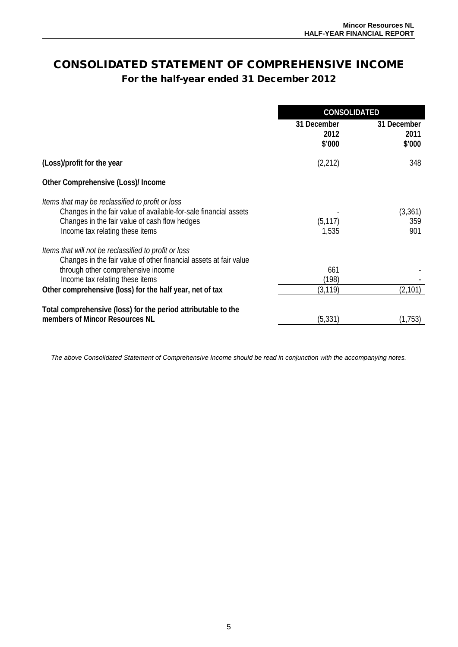## <span id="page-10-0"></span>CONSOLIDATED STATEMENT OF COMPREHENSIVE INCOME For the half-year ended 31 December 2012

|                                                                                                                                                                                                          | <b>CONSOLIDATED</b>           |                               |
|----------------------------------------------------------------------------------------------------------------------------------------------------------------------------------------------------------|-------------------------------|-------------------------------|
|                                                                                                                                                                                                          | 31 December<br>2012<br>\$'000 | 31 December<br>2011<br>\$'000 |
| (Loss)/profit for the year                                                                                                                                                                               | (2,212)                       | 348                           |
| Other Comprehensive (Loss)/ Income                                                                                                                                                                       |                               |                               |
| Items that may be reclassified to profit or loss<br>Changes in the fair value of available-for-sale financial assets<br>Changes in the fair value of cash flow hedges<br>Income tax relating these items | (5, 117)<br>1,535             | (3,361)<br>359<br>901         |
| Items that will not be reclassified to profit or loss<br>Changes in the fair value of other financial assets at fair value<br>through other comprehensive income<br>Income tax relating these items      | 661<br>(198)                  |                               |
| Other comprehensive (loss) for the half year, net of tax                                                                                                                                                 | (3, 119)                      | (2,101)                       |
| Total comprehensive (loss) for the period attributable to the<br>members of Mincor Resources NL                                                                                                          | (5, 331)                      | (1, 753)                      |

*The above Consolidated Statement of Comprehensive Income should be read in conjunction with the accompanying notes.*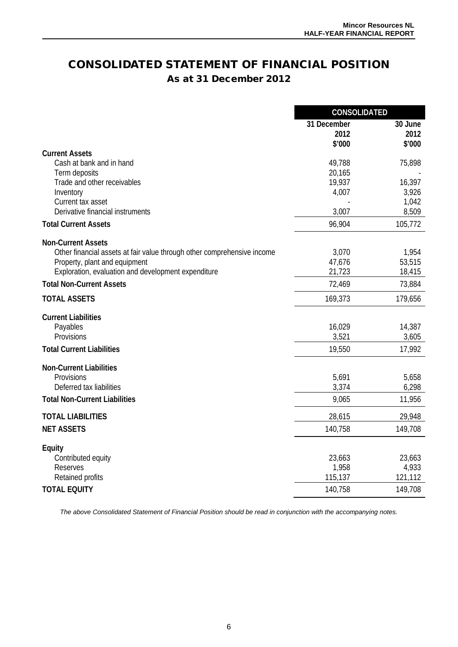## <span id="page-11-0"></span>CONSOLIDATED STATEMENT OF FINANCIAL POSITION As at 31 December 2012

|                                                                         | <b>CONSOLIDATED</b> |         |
|-------------------------------------------------------------------------|---------------------|---------|
|                                                                         | 31 December         | 30 June |
|                                                                         | 2012                | 2012    |
|                                                                         | \$'000              | \$'000  |
| <b>Current Assets</b><br>Cash at bank and in hand                       | 49,788              | 75,898  |
| Term deposits                                                           | 20,165              |         |
| Trade and other receivables                                             | 19,937              | 16,397  |
| Inventory                                                               | 4,007               | 3,926   |
| Current tax asset                                                       |                     | 1,042   |
| Derivative financial instruments                                        | 3,007               | 8,509   |
| <b>Total Current Assets</b>                                             | 96,904              | 105,772 |
| <b>Non-Current Assets</b>                                               |                     |         |
| Other financial assets at fair value through other comprehensive income | 3,070               | 1,954   |
| Property, plant and equipment                                           | 47,676              | 53,515  |
| Exploration, evaluation and development expenditure                     | 21,723              | 18,415  |
| <b>Total Non-Current Assets</b>                                         | 72,469              | 73,884  |
| <b>TOTAL ASSETS</b>                                                     | 169,373             | 179,656 |
| <b>Current Liabilities</b>                                              |                     |         |
| Payables                                                                | 16,029              | 14,387  |
| Provisions                                                              | 3,521               | 3,605   |
| <b>Total Current Liabilities</b>                                        | 19,550              | 17,992  |
| <b>Non-Current Liabilities</b>                                          |                     |         |
| Provisions                                                              | 5,691               | 5,658   |
| Deferred tax liabilities                                                | 3,374               | 6,298   |
| <b>Total Non-Current Liabilities</b>                                    | 9,065               | 11,956  |
| <b>TOTAL LIABILITIES</b>                                                | 28,615              | 29,948  |
| <b>NET ASSETS</b>                                                       | 140,758             | 149,708 |
| Equity                                                                  |                     |         |
| Contributed equity                                                      | 23,663              | 23,663  |
| <b>Reserves</b>                                                         | 1,958               | 4,933   |
| Retained profits                                                        | 115,137             | 121,112 |
| <b>TOTAL EQUITY</b>                                                     | 140,758             | 149,708 |

*The above Consolidated Statement of Financial Position should be read in conjunction with the accompanying notes.*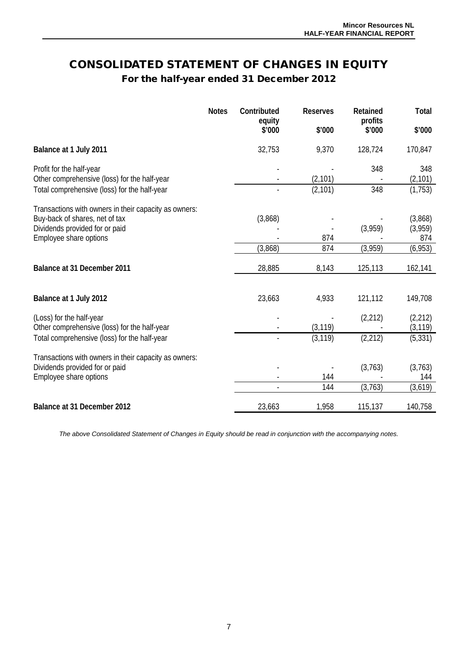## <span id="page-12-0"></span>CONSOLIDATED STATEMENT OF CHANGES IN EQUITY For the half-year ended 31 December 2012

|                                                                          | <b>Notes</b> | Contributed<br>equity | <b>Reserves</b> | Retained<br>profits | <b>Total</b>    |
|--------------------------------------------------------------------------|--------------|-----------------------|-----------------|---------------------|-----------------|
|                                                                          |              | \$'000                | \$'000          | \$'000              | \$'000          |
| Balance at 1 July 2011                                                   |              | 32,753                | 9,370           | 128,724             | 170,847         |
| Profit for the half-year<br>Other comprehensive (loss) for the half-year |              |                       | (2, 101)        | 348                 | 348<br>(2, 101) |
| Total comprehensive (loss) for the half-year                             |              |                       | (2, 101)        | 348                 | (1, 753)        |
| Transactions with owners in their capacity as owners:                    |              |                       |                 |                     |                 |
| Buy-back of shares, net of tax                                           |              | (3,868)               |                 |                     | (3,868)         |
| Dividends provided for or paid                                           |              |                       |                 | (3,959)             | (3,959)         |
| Employee share options                                                   |              |                       | 874             |                     | 874             |
|                                                                          |              | (3,868)               | 874             | (3,959)             | (6,953)         |
| Balance at 31 December 2011                                              |              | 28,885                | 8,143           | 125,113             | 162,141         |
|                                                                          |              |                       |                 |                     |                 |
| Balance at 1 July 2012                                                   |              | 23,663                | 4,933           | 121,112             | 149,708         |
| (Loss) for the half-year                                                 |              |                       |                 | (2, 212)            | (2, 212)        |
| Other comprehensive (loss) for the half-year                             |              |                       | (3, 119)        |                     | (3, 119)        |
| Total comprehensive (loss) for the half-year                             |              |                       | (3, 119)        | (2, 212)            | (5, 331)        |
| Transactions with owners in their capacity as owners:                    |              |                       |                 |                     |                 |
| Dividends provided for or paid                                           |              |                       |                 | (3,763)             | (3, 763)        |
| Employee share options                                                   |              |                       | 144             |                     | 144             |
|                                                                          |              |                       | 144             | (3,763)             | (3,619)         |
| Balance at 31 December 2012                                              |              | 23,663                | 1,958           | 115,137             | 140,758         |

*The above Consolidated Statement of Changes in Equity should be read in conjunction with the accompanying notes.*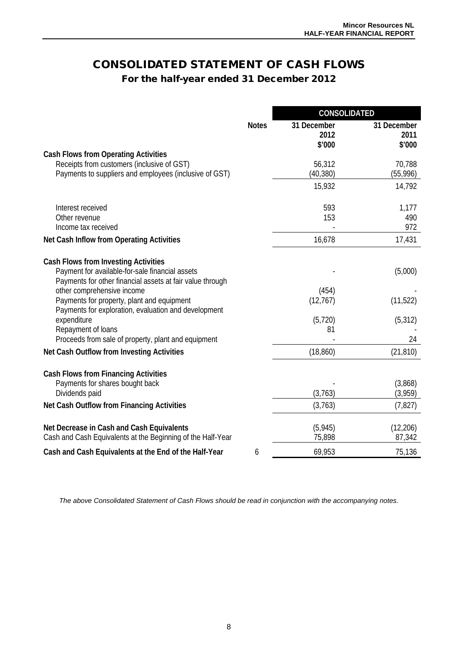## CONSOLIDATED STATEMENT OF CASH FLOWS For the half-year ended 31 December 2012

<span id="page-13-0"></span>

|                                                                                                      |              | <b>CONSOLIDATED</b>           |                               |
|------------------------------------------------------------------------------------------------------|--------------|-------------------------------|-------------------------------|
|                                                                                                      | <b>Notes</b> | 31 December<br>2012<br>\$'000 | 31 December<br>2011<br>\$'000 |
| <b>Cash Flows from Operating Activities</b>                                                          |              |                               |                               |
| Receipts from customers (inclusive of GST)<br>Payments to suppliers and employees (inclusive of GST) |              | 56,312<br>(40, 380)           | 70,788<br>(55, 996)           |
|                                                                                                      |              | 15,932                        | 14,792                        |
| Interest received                                                                                    |              | 593                           | 1,177                         |
| Other revenue                                                                                        |              | 153                           | 490                           |
| Income tax received                                                                                  |              |                               | 972                           |
| Net Cash Inflow from Operating Activities                                                            |              | 16,678                        | 17,431                        |
| <b>Cash Flows from Investing Activities</b>                                                          |              |                               |                               |
| Payment for available-for-sale financial assets                                                      |              |                               | (5,000)                       |
| Payments for other financial assets at fair value through                                            |              |                               |                               |
| other comprehensive income<br>Payments for property, plant and equipment                             |              | (454)<br>(12, 767)            | (11, 522)                     |
| Payments for exploration, evaluation and development                                                 |              |                               |                               |
| expenditure                                                                                          |              | (5, 720)                      | (5, 312)                      |
| Repayment of loans<br>Proceeds from sale of property, plant and equipment                            |              | 81                            | 24                            |
| Net Cash Outflow from Investing Activities                                                           |              | (18, 860)                     | (21, 810)                     |
|                                                                                                      |              |                               |                               |
| <b>Cash Flows from Financing Activities</b>                                                          |              |                               |                               |
| Payments for shares bought back                                                                      |              |                               | (3,868)                       |
| Dividends paid                                                                                       |              | (3,763)                       | (3,959)                       |
| Net Cash Outflow from Financing Activities                                                           |              | (3,763)                       | (7, 827)                      |
| Net Decrease in Cash and Cash Equivalents                                                            |              | (5, 945)                      | (12, 206)                     |
| Cash and Cash Equivalents at the Beginning of the Half-Year                                          |              | 75,898                        | 87,342                        |
| Cash and Cash Equivalents at the End of the Half-Year                                                | 6            | 69,953                        | 75,136                        |

*The above Consolidated Statement of Cash Flows should be read in conjunction with the accompanying notes.*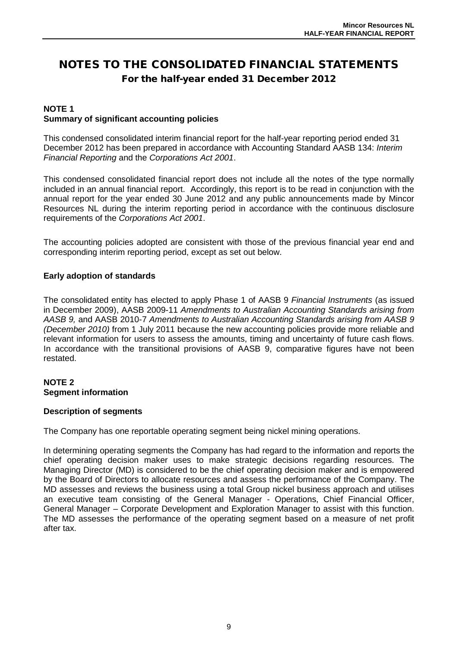## <span id="page-14-0"></span>NOTES TO THE CONSOLIDATED FINANCIAL STATEMENTS For the half-year ended 31 December 2012

## **NOTE 1 Summary of significant accounting policies**

This condensed consolidated interim financial report for the half-year reporting period ended 31 December 2012 has been prepared in accordance with Accounting Standard AASB 134: *Interim Financial Reporting* and the *Corporations Act 2001*.

This condensed consolidated financial report does not include all the notes of the type normally included in an annual financial report. Accordingly, this report is to be read in conjunction with the annual report for the year ended 30 June 2012 and any public announcements made by Mincor Resources NL during the interim reporting period in accordance with the continuous disclosure requirements of the *Corporations Act 2001*.

The accounting policies adopted are consistent with those of the previous financial year end and corresponding interim reporting period, except as set out below.

## **Early adoption of standards**

The consolidated entity has elected to apply Phase 1 of AASB 9 *Financial Instruments* (as issued in December 2009), AASB 2009-11 *Amendments to Australian Accounting Standards arising from AASB 9,* and AASB 2010-7 *Amendments to Australian Accounting Standards arising from AASB 9 (December 2010)* from 1 July 2011 because the new accounting policies provide more reliable and relevant information for users to assess the amounts, timing and uncertainty of future cash flows. In accordance with the transitional provisions of AASB 9, comparative figures have not been restated.

## **NOTE 2 Segment information**

## **Description of segments**

The Company has one reportable operating segment being nickel mining operations.

In determining operating segments the Company has had regard to the information and reports the chief operating decision maker uses to make strategic decisions regarding resources. The Managing Director (MD) is considered to be the chief operating decision maker and is empowered by the Board of Directors to allocate resources and assess the performance of the Company. The MD assesses and reviews the business using a total Group nickel business approach and utilises an executive team consisting of the General Manager - Operations, Chief Financial Officer, General Manager – Corporate Development and Exploration Manager to assist with this function. The MD assesses the performance of the operating segment based on a measure of net profit after tax.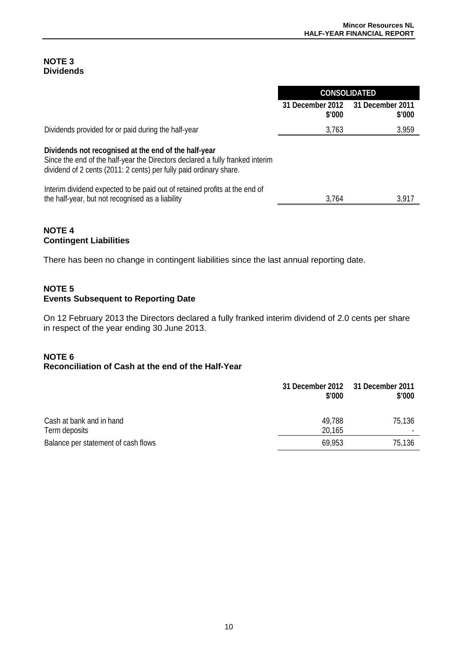## **NOTE 3 Dividends**

|                                                                                                                                                                                                             | <b>CONSOLIDATED</b>        |                            |
|-------------------------------------------------------------------------------------------------------------------------------------------------------------------------------------------------------------|----------------------------|----------------------------|
|                                                                                                                                                                                                             | 31 December 2012<br>\$'000 | 31 December 2011<br>\$'000 |
| Dividends provided for or paid during the half-year                                                                                                                                                         | 3,763                      | 3,959                      |
| Dividends not recognised at the end of the half-year<br>Since the end of the half-year the Directors declared a fully franked interim<br>dividend of 2 cents (2011: 2 cents) per fully paid ordinary share. |                            |                            |
| Interim dividend expected to be paid out of retained profits at the end of<br>the half-year, but not recognised as a liability                                                                              | 3,764                      | 3,917                      |

## **NOTE 4 Contingent Liabilities**

There has been no change in contingent liabilities since the last annual reporting date.

## **NOTE 5 Events Subsequent to Reporting Date**

On 12 February 2013 the Directors declared a fully franked interim dividend of 2.0 cents per share in respect of the year ending 30 June 2013.

## **NOTE 6**

## **Reconciliation of Cash at the end of the Half-Year**

|                                           | 31 December 2012 31 December 2011<br>\$'000 | \$'000 |
|-------------------------------------------|---------------------------------------------|--------|
| Cash at bank and in hand<br>Term deposits | 49,788<br>20,165                            | 75,136 |
| Balance per statement of cash flows       | 69,953                                      | 75,136 |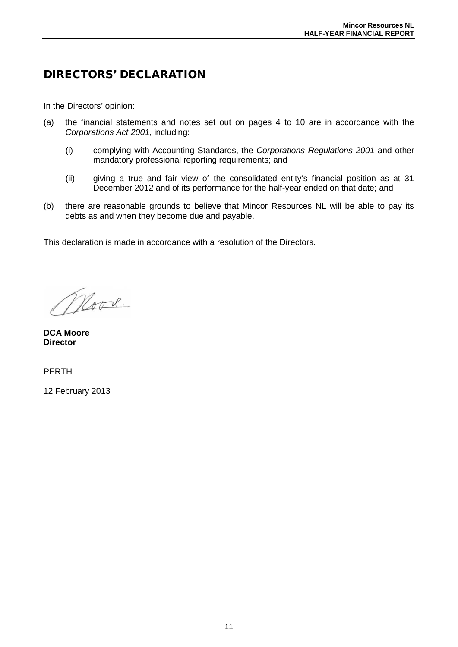## DIRECTORS' DECLARATION

In the Directors' opinion:

- (a) the financial statements and notes set out on pages 4 to 10 are in accordance with the *Corporations Act 2001*, including:
	- (i) complying with Accounting Standards, the *Corporations Regulations 2001* and other mandatory professional reporting requirements; and
	- (ii) giving a true and fair view of the consolidated entity's financial position as at 31 December 2012 and of its performance for the half-year ended on that date; and
- (b) there are reasonable grounds to believe that Mincor Resources NL will be able to pay its debts as and when they become due and payable.

This declaration is made in accordance with a resolution of the Directors.

Noove.

**DCA Moore Director**

PERTH

12 February 2013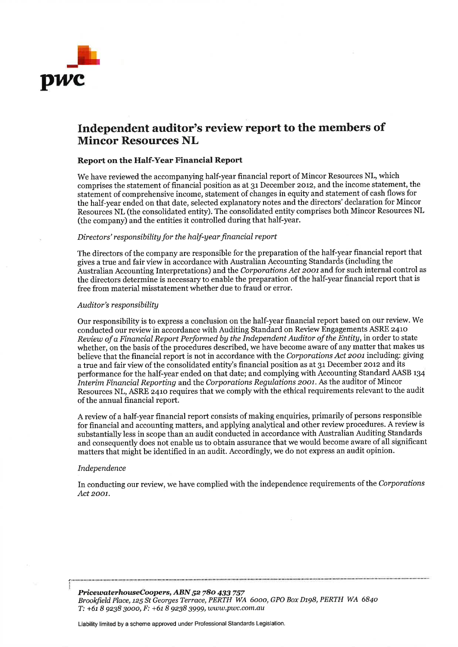

## Independent auditor's review report to the members of **Mincor Resources NL**

#### **Report on the Half-Year Financial Report**

We have reviewed the accompanying half-year financial report of Mincor Resources NL, which comprises the statement of financial position as at 31 December 2012, and the income statement, the statement of comprehensive income, statement of changes in equity and statement of cash flows for the half-year ended on that date, selected explanatory notes and the directors' declaration for Mincor Resources NL (the consolidated entity). The consolidated entity comprises both Mincor Resources NL (the company) and the entities it controlled during that half-year.

#### Directors' responsibility for the half-year financial report

The directors of the company are responsible for the preparation of the half-year financial report that gives a true and fair view in accordance with Australian Accounting Standards (including the Australian Accounting Interpretations) and the Corporations Act 2001 and for such internal control as the directors determine is necessary to enable the preparation of the half-year financial report that is free from material misstatement whether due to fraud or error.

#### Auditor's responsibility

Our responsibility is to express a conclusion on the half-year financial report based on our review. We conducted our review in accordance with Auditing Standard on Review Engagements ASRE 2410 Review of a Financial Report Performed by the Independent Auditor of the Entity, in order to state whether, on the basis of the procedures described, we have become aware of any matter that makes us believe that the financial report is not in accordance with the Corporations Act 2001 including: giving a true and fair view of the consolidated entity's financial position as at 31 December 2012 and its performance for the half-year ended on that date; and complying with Accounting Standard AASB 134 Interim Financial Reporting and the Corporations Regulations 2001. As the auditor of Mincor Resources NL, ASRE 2410 requires that we comply with the ethical requirements relevant to the audit of the annual financial report.

A review of a half-year financial report consists of making enquiries, primarily of persons responsible for financial and accounting matters, and applying analytical and other review procedures. A review is substantially less in scope than an audit conducted in accordance with Australian Auditing Standards and consequently does not enable us to obtain assurance that we would become aware of all significant matters that might be identified in an audit. Accordingly, we do not express an audit opinion.

#### Independence

In conducting our review, we have complied with the independence requirements of the Corporations Act 2001.

PricewaterhouseCoopers, ABN 52 780 433 757 Brookfield Place, 125 St Georges Terrace, PERTH WA 6000, GPO Box D198, PERTH WA 6840 T: +61 8 9238 3000, F: +61 8 9238 3999, www.pwc.com.au

Liability limited by a scheme approved under Professional Standards Legislation.